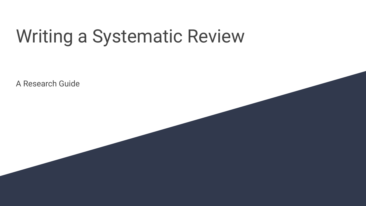# Writing a Systematic Review

A Research Guide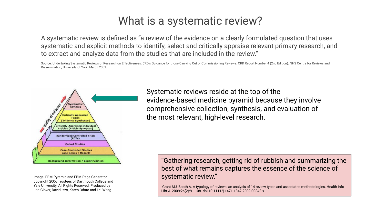### What is a systematic review?

A systematic review is defined as "a review of the evidence on a clearly formulated question that uses systematic and explicit methods to identify, select and critically appraise relevant primary research, and to extract and analyze data from the studies that are included in the review."

Source: Undertaking Systematic Reviews of Research on Effectiveness. CRD's Guidance for those Carrying Out or Commissioning Reviews. CRD Report Number 4 (2nd Edition). NHS Centre for Reviews and Dissemination, University of York. March 2001.



Image: EBM Pyramid and EBM Page Generator, copyright 2006 Trustees of Dartmouth College and Yale University. All Rights Reserved. Produced by Jan Glover, David Izzo, Karen Odato and Lei Wang.

Systematic reviews reside at the top of the evidence-based medicine pyramid because they involve comprehensive collection, synthesis, and evaluation of the most relevant, high-level research.

"Gathering research, getting rid of rubbish and summarizing the best of what remains captures the essence of the science of systematic review."

-Grant MJ, Booth A. A typology of reviews: an analysis of 14 review types and associated methodologies. Health Info Libr J. 2009;26(2):91-108. doi:10.1111/j.1471-1842.2009.00848.x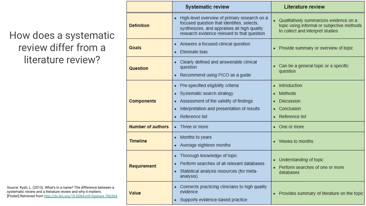### How does a systematic review differ from a literature review?

· High-level overview of primary research on a · Qualitatively summarizes evidence on a focused question that identifies, selects. **Definition** topic using informal or subjective methods synthesizes, and appraises all high quality to collect and interpret studies research evidence relevant to that question • Answers a focused clinical question Goals • Provide summary or overview of topic · Fliminate bias Clearly defined and answerable clinical • Can be a general topic or a specific question Question question • Recommend using PICO as a quide • Pre-specified eligibility criteria • Introduction Systematic search strategy Methods **Components** • Assessment of the validity of findings · Discussion • Interpretation and presentation of results • Conclusion • Reference list • Reference list Number of authors • Three or more • One or more • Months to years **Timeline** • Weeks to months • Average eighteen months • Thorough knowledge of topic • Understanding of topic Perform searches of all relevant databases Requirement • Perform searches of one or more • Statistical analysis resources (for metadatabases analysis) Connects practicing clinicians to high quality evidence Value • Provides summary of literature on the topic • Supports evidence-based practice

Literature review

**Systematic review** 

Source: Kysh, L. (2013). What's in a name? The difference between a systematic review and a literature review and why it matters. [Poster].Retrieved from [http://dx.doi.org/10.6084/m9.figshare.766364.](http://dx.doi.org/10.6084/m9.figshare.766364)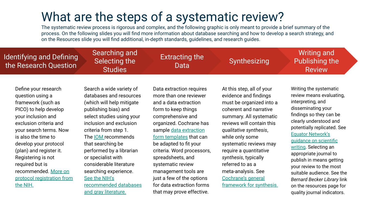### What are the steps of a systematic review?

The systematic review process is rigorous and complex, and the following graphic is only meant to provide a brief summary of the process. On the following slides you will find more information about database searching and how to develop a search strategy, and on the Resources slide you will find additional, in-depth standards, guidelines, and research guides.

| <b>Identifying and Defining</b><br>the Research Question                                                                                                                                                                                                                                                                                                | Searching and<br>Selecting the<br><b>Studies</b>                                                                                                                                                                                                                                                                                                                                                                    | <b>Extracting the</b><br>Data                                                                                                                                                                                                                                                                                                                                                                                            | Synthesizing                                                                                                                                                                                                                                                                                                                                                                          | <b>Writing and</b><br>Publishing the<br><b>Review</b>                                                                                                                                                                                                                                                                                                                                                                                                                      |
|---------------------------------------------------------------------------------------------------------------------------------------------------------------------------------------------------------------------------------------------------------------------------------------------------------------------------------------------------------|---------------------------------------------------------------------------------------------------------------------------------------------------------------------------------------------------------------------------------------------------------------------------------------------------------------------------------------------------------------------------------------------------------------------|--------------------------------------------------------------------------------------------------------------------------------------------------------------------------------------------------------------------------------------------------------------------------------------------------------------------------------------------------------------------------------------------------------------------------|---------------------------------------------------------------------------------------------------------------------------------------------------------------------------------------------------------------------------------------------------------------------------------------------------------------------------------------------------------------------------------------|----------------------------------------------------------------------------------------------------------------------------------------------------------------------------------------------------------------------------------------------------------------------------------------------------------------------------------------------------------------------------------------------------------------------------------------------------------------------------|
| Define your research<br>question using a<br>framework (such as<br>PICO) to help develop<br>your inclusion and<br>exclusion criteria and<br>your search terms. Now<br>is also the time to<br>develop your protocol<br>(plan) and register it.<br>Registering is not<br>required but is<br>recommended. More on<br>protocol registration from<br>the NIH. | Search a wide variety of<br>databases and resources<br>(which will help mitigate<br>publishing bias) and<br>select studies using your<br>inclusion and exclusion<br>criteria from step 1.<br>The <b>IOM</b> recommends<br>that searching be<br>performed by a librarian<br>or specialist with<br>considerable literature<br>searching experience.<br>See the NIH's<br>recommended databases<br>and gray literature. | Data extraction requires<br>more than one reviewer<br>and a data extraction<br>form to keep things<br>comprehensive and<br>organized. Cochrane has<br>sample data extraction<br>form templates that can<br>be adapted to fit your<br>criteria. Word processors,<br>spreadsheets, and<br>systematic review<br>management tools are<br>just a few of the options<br>for data extraction forms<br>that may prove effective. | At this step, all of your<br>evidence and findings<br>must be organized into a<br>coherent and narrative<br>summary. All systematic<br>reviews will contain this<br>qualitative synthesis,<br>while only some<br>systematic reviews may<br>require a quantitative<br>synthesis, typically<br>referred to as a<br>meta-analysis. See<br>Cochrane's general<br>framework for synthesis. | Writing the systematic<br>review means evaluating,<br>interpreting, and<br>disseminating your<br>findings so they can be<br>clearly understood and<br>potentially replicated. See<br><b>Equator Network's</b><br>guidance on scientific<br>writing. Selecting an<br>appropriate journal to<br>publish in means getting<br>your review to the most<br>suitable audience. See the<br>Bernard Becker Library link<br>on the resources page for<br>quality journal indicators. |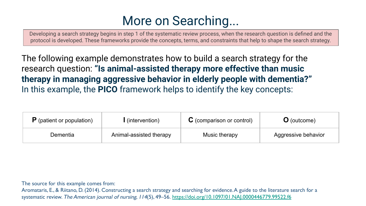# More on Searching...

Developing a search strategy begins in step 1 of the systematic review process, when the research question is defined and the protocol is developed. These frameworks provide the concepts, terms, and constraints that help to shape the search strategy.

The following example demonstrates how to build a search strategy for the research question: **"Is animal-assisted therapy more effective than music therapy in managing aggressive behavior in elderly people with dementia?"**  In this example, the **PICO** framework helps to identify the key concepts:

| $\mathsf{P}$ (patient or population) | l (intervention)        | $\mathbf C$ (comparison or control) | <b>O</b> (outcome)  |
|--------------------------------------|-------------------------|-------------------------------------|---------------------|
| Dementia                             | Animal-assisted therapy | Music therapy                       | Aggressive behavior |

The source for this example comes from:

Aromataris, E., & Riitano, D. (2014). Constructing a search strategy and searching for evidence. A guide to the literature search for a systematic review. The American journal of nursing, 114(5), 49–56. <https://doi.org/10.1097/01.NAJ.0000446779.99522.f6>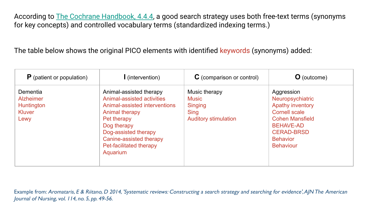According to [The Cochrane Handbook, 4.4.4](https://training.cochrane.org/handbook/current/chapter-04#section-4-4-4), a good search strategy uses both free-text terms (synonyms for key concepts) and controlled vocabulary terms (standardized indexing terms.)

The table below shows the original PICO elements with identified keywords (synonyms) added:

| $\bf{P}$ (patient or population)                                           | l (intervention)                                                                                                                                                                                                                 | $\mathbf C$ (comparison or control)                                             | <b>O</b> (outcome)                                                                                                                                                                   |
|----------------------------------------------------------------------------|----------------------------------------------------------------------------------------------------------------------------------------------------------------------------------------------------------------------------------|---------------------------------------------------------------------------------|--------------------------------------------------------------------------------------------------------------------------------------------------------------------------------------|
| Dementia<br><b>Alzheimer</b><br><b>Huntington</b><br><b>Kluver</b><br>Lewy | Animal-assisted therapy<br>Animal-assisted activities<br>Animal-assisted interventions<br>Animal therapy<br>Pet therapy<br>Dog therapy<br>Dog-assisted therapy<br>Canine-assisted therapy<br>Pet-facilitated therapy<br>Aquarium | Music therapy<br>Music<br><b>Singing</b><br>Sing<br><b>Auditory stimulation</b> | Aggression<br>Neuropsychiatric<br>Apathy inventory<br><b>Cornell scale</b><br><b>Cohen Mansfield</b><br><b>BEHAVE-AD</b><br><b>CERAD-BRSD</b><br><b>Behavior</b><br><b>Behaviour</b> |

Example from: Aromataris, E & Riitano, D 2014, 'Systematic reviews: Constructing a search strategy and searching for evidence', AJN The American Journal of Nursing, vol. 114, no. 5, pp. 49-56.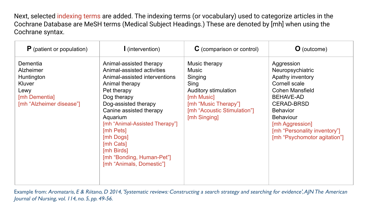Next, selected indexing terms are added. The indexing terms (or vocabulary) used to categorize articles in the Cochrane Database are MeSH terms (Medical Subject Headings.) These are denoted by [mh] when using the Cochrane syntax.

| $P$ (patient or population)                                                                        | $\mathsf{I}$ (intervention)                                                                                                                                                                                                                                                                                                                           | $\mathbf C$ (comparison or control)                                                                                                                    | <b>O</b> (outcome)                                                                                                                                                                                                                                        |
|----------------------------------------------------------------------------------------------------|-------------------------------------------------------------------------------------------------------------------------------------------------------------------------------------------------------------------------------------------------------------------------------------------------------------------------------------------------------|--------------------------------------------------------------------------------------------------------------------------------------------------------|-----------------------------------------------------------------------------------------------------------------------------------------------------------------------------------------------------------------------------------------------------------|
| Dementia<br>Alzheimer<br>Huntington<br>Kluver<br>Lewy<br>[mh Dementia]<br>[mh "Alzheimer disease"] | Animal-assisted therapy<br>Animal-assisted activities<br>Animal-assisted interventions<br>Animal therapy<br>Pet therapy<br>Dog therapy<br>Dog-assisted therapy<br>Canine assisted therapy<br>Aquarium<br>[mh "Animal-Assisted Therapy"]<br>[mh Pets]<br>[mh Dogs]<br>[mh Cats]<br>[mh Birds]<br>[mh "Bonding, Human-Pet"]<br>[mh "Animals, Domestic"] | Music therapy<br>Music<br>Singing<br>Sing<br>Auditory stimulation<br>[mh Music]<br>[mh "Music Therapy"]<br>[mh "Acoustic Stimulation"]<br>[mh Singing] | Aggression<br>Neuropsychiatric<br>Apathy inventory<br>Cornell scale<br>Cohen Mansfield<br><b>BEHAVE-AD</b><br><b>CERAD-BRSD</b><br><b>Behavior</b><br><b>Behaviour</b><br>[mh Aggression]<br>[mh "Personality inventory"]<br>[mh "Psychomotor agitation"] |

Example from: Aromataris, E & Riitano, D 2014, 'Systematic reviews: Constructing a search strategy and searching for evidence', AJN The American Journal of Nursing, vol. 114, no. 5, pp. 49-56.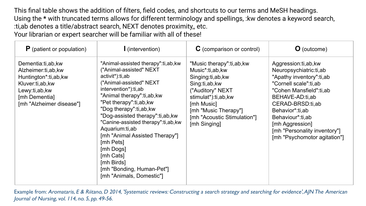This final table shows the addition of filters, field codes, and shortcuts to our terms and MeSH headings. Using the **\*** with truncated terms allows for different terminology and spellings, :kw denotes a keyword search, :ti,ab denotes a title/abstract search, NEXT denotes proximity,, etc. Your librarian or expert searcher will be familiar with all of these!

| $P$ (patient or population)                                                                                                                        | (intervention)                                                                                                                                                                                                                                                                                                                                                                                                                                                       | C (comparison or control)                                                                                                                                                                                         | <b>O</b> (outcome)                                                                                                                                                                                                                                                                             |
|----------------------------------------------------------------------------------------------------------------------------------------------------|----------------------------------------------------------------------------------------------------------------------------------------------------------------------------------------------------------------------------------------------------------------------------------------------------------------------------------------------------------------------------------------------------------------------------------------------------------------------|-------------------------------------------------------------------------------------------------------------------------------------------------------------------------------------------------------------------|------------------------------------------------------------------------------------------------------------------------------------------------------------------------------------------------------------------------------------------------------------------------------------------------|
| Dementia:ti,ab, kw<br>Alzheimer:ti,ab,kw<br>Huntington*:ti,ab,kw<br>Kluver:ti,ab, kw<br>Lewy:ti,ab,kw<br>[mh Dementia]<br>[mh "Alzheimer disease"] | "Animal-assisted therapy":ti,ab, kw<br>("Animal-assisted" NEXT<br>activit*):ti,ab<br>("Animal-assisted" NEXT<br>intervention*):ti,ab<br>"Animal therapy":ti,ab, kw<br>"Pet therapy":ti,ab, kw<br>"Dog therapy":ti,ab,kw<br>"Dog-assisted therapy":ti,ab, kw<br>"Canine-assisted therapy":ti,ab, kw<br>Aquarium:ti,ab<br>[mh "Animal Assisted Therapy"]<br>[mh Pets]<br>[mh Dogs]<br>[mh Cats]<br>[mh Birds]<br>[mh "Bonding, Human-Pet"]<br>[mh "Animals, Domestic"] | "Music therapy":ti,ab,kw<br>Music*:ti,ab,kw<br>Singing:ti,ab, kw<br>Sing:ti,ab,kw<br>("Auditory" NEXT<br>stimulat*):ti,ab,kw<br>[mh Music]<br>[mh "Music Therapy"]<br>[mh "Acoustic Stimulation"]<br>[mh Singing] | Aggression:ti,ab,kw<br>Neuropsychiatric:ti,ab<br>"Apathy inventory":ti,ab<br>"Cornell scale":ti,ab<br>"Cohen Mansfield":ti,ab<br>BEHAVE-AD:ti,ab<br>CERAD-BRSD:ti,ab<br>Behavior*:ti,ab<br>Behaviour*:ti,ab<br>[mh Aggression]<br>[mh "Personality inventory"]<br>[mh "Psychomotor agitation"] |

Example from: Aromataris, E & Riitano, D 2014, 'Systematic reviews: Constructing a search strategy and searching for evidence', AJN The American Journal of Nursing, vol. 114, no. 5, pp. 49-56.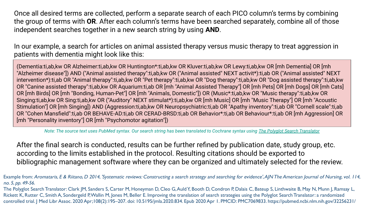Once all desired terms are collected, perform a separate search of each PICO column's terms by combining the group of terms with **OR**. After each column's terms have been searched separately, combine all of those independent searches together in a new search string by using **AND**.

In our example, a search for articles on animal assisted therapy versus music therapy to treat aggression in patients with dementia might look like this:

(Dementia:ti,ab,kw OR Alzheimer:ti,ab,kw OR Huntington\*:ti,ab,kw OR Kluver:ti,ab,kw OR Lewy:ti,ab,kw OR [mh Dementia] OR [mh "Alzheimer disease"]) AND ("Animal assisted therapy":ti,ab,kw OR ("Animal assisted" NEXT activit\*):ti,ab OR ("Animal assisted" NEXT intervention\*):ti,ab OR "Animal therapy":ti,ab,kw OR "Pet therapy":ti,ab,kw OR "Dog therapy":ti,ab,kw OR "Dog assisted therapy":ti,ab,kw OR "Canine assisted therapy":ti,ab,kw OR Aquarium:ti,ab OR [mh "Animal Assisted Therapy"] OR [mh Pets] OR [mh Dogs] OR [mh Cats] OR [mh Birds] OR [mh "Bonding, Human-Pet"] OR [mh "Animals, Domestic"]) OR (Music\*:ti,ab,kw OR "Music therapy":ti,ab,kw OR Singing:ti,ab,kw OR Sing:ti,ab,kw OR ("Auditory" NEXT stimulat\*):ti,ab,kw OR [mh Music] OR [mh "Music Therapy"] OR [mh "Acoustic Stimulation"] OR [mh Singing]) AND (Aggression:ti,ab,kw OR Neuropsychiatric:ti,ab OR "Apathy inventory":ti,ab OR "Cornell scale":ti,ab OR "Cohen Mansfield":ti,ab OR BEHAVE-AD:ti,ab OR CERAD-BRSD:ti,ab OR Behavior\*:ti,ab OR Behaviour\*:ti,ab OR [mh Aggression] OR [mh "Personality inventory"] OR [mh "Psychomotor agitation"])

*Note: The source text uses PubMed syntax. Our search string has been translated to Cochrane syntax using [The Polyglot Search Translator](https://sr-accelerator.com/#/polyglot)*

After the final search is conducted, results can be further refined by publication date, study group, etc. according to the limits established in the protocol. Resulting citations should be exported to bibliographic management software where they can be organized and ultimately selected for the review.

Example from: Aromataris, E & Riitano, D 2014, 'Systematic reviews: Constructing a search strategy and searching for evidence', AJN The American Journal of Nursing, vol. 114, no. 5, pp. 49-56.

The Polyglot Search Translator: Clark JM, Sanders S, Carter M, Honeyman D, Cleo G, Auld Y, Booth D, Condron P, Dalais C, Bateup S, Linthwaite B, May N, Munn J, Ramsay L, Rickett K, Rutter C, Smith A, Sondergeld P, Wallin M, Jones M, Beller E. Improving the translation of search strategies using the Polyglot Search Translator: a randomized controlled trial. J Med Libr Assoc. 2020 Apr;108(2):195–207. doi: 10.5195/jmla.2020.834. Epub 2020 Apr 1. PMCID: PMC7069833. https://pubmed.ncbi.nlm.nih.gov/32256231/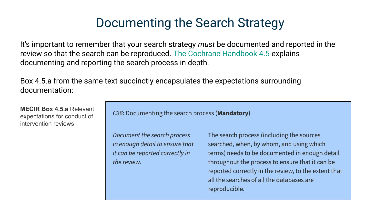### Documenting the Search Strategy

It's important to remember that your search strategy *must* be documented and reported in the review so that the search can be reproduced. [The Cochrane Handbook 4.5](https://training.cochrane.org/handbook/current/chapter-04#section-4-5) explains documenting and reporting the search process in depth.

Box 4.5.a from the same text succinctly encapsulates the expectations surrounding documentation:

**MECIR Box 4.5.a** Relevant expectations for conduct of intervention reviews

C36: Documenting the search process (Mandatory)

Document the search process in enough detail to ensure that it can be reported correctly in the review.

The search process (including the sources searched, when, by whom, and using which terms) needs to be documented in enough detail throughout the process to ensure that it can be reported correctly in the review, to the extent that all the searches of all the databases are reproducible.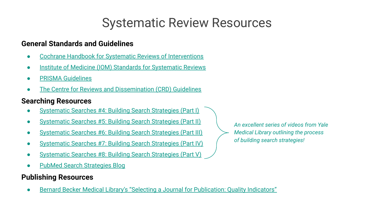# Systematic Review Resources

#### **General Standards and Guidelines**

- [Cochrane Handbook for Systematic Reviews of Interventions](https://training.cochrane.org/handbook/current)
- [Institute of Medicine \(IOM\) Standards for Systematic Reviews](https://www.nihlibrary.nih.gov/sites/default/files/Finding_What_Works_in_Health_Care_Standards_for_Systematic_Reviews_IOM_2011.pdf)
- **[PRISMA Guidelines](https://journals.plos.org/plosmedicine/article?id=10.1371/journal.pmed.1000100)**
- [The Centre for Reviews and Dissemination \(CRD\) Guidelines](https://www.york.ac.uk/crd/SysRev/!SSL!/WebHelp/SysRev3.htm)

#### **Searching Resources**

- [Systematic Searches #4: Building Search Strategies \(Part I\)](https://library.medicine.yale.edu/tutorials/1006)
- [Systematic Searches #5: Building Search Strategies \(Part II\)](https://library.medicine.yale.edu/tutorials/1013)
- **[Systematic Searches #6: Building Search Strategies \(Part III\)](https://library.medicine.yale.edu/tutorials/1014)**
- [Systematic Searches #7: Building Search Strategies \(Part IV\)](https://library.medicine.yale.edu/tutorials/1017)
- [Systematic Searches #8: Building Search Strategies \(Part V\)](https://library.medicine.yale.edu/tutorials/1042)
- **[PubMed Search Strategies Blog](http://pubmedsearches.blogspot.com/)**

#### **Publishing Resources**

[Bernard Becker Medical Library's "Selecting a Journal for Publication: Quality Indicators"](https://beckerguides.wustl.edu/c.php?g=648201&p=4545483)

*An excellent series of videos from Yale Medical Library outlining the process of building search strategies!*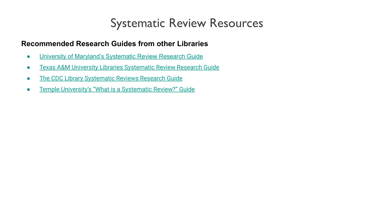### Systematic Review Resources

#### **Recommended Research Guides from other Libraries**

- [University of Maryland's Systematic Review Research Guide](https://lib.guides.umd.edu/SR)
- [Texas A&M University Libraries Systematic Review Research Guide](https://tamu.libguides.com/c.php?g=574702&p=4298724)
- **[The CDC Library Systematic Reviews Research Guide](https://www.cdc.gov/library/researchguides/systematicreviews.html)**
- **•** [Temple University's "What is a Systematic Review?" Guide](https://guides.temple.edu/c.php?g=78618&p=4178713)